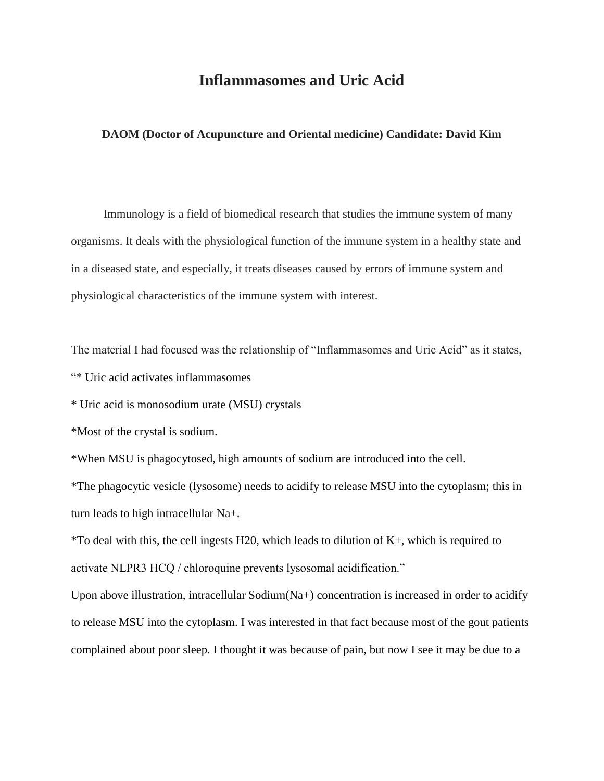## **Inflammasomes and Uric Acid**

## **DAOM (Doctor of Acupuncture and Oriental medicine) Candidate: David Kim**

 Immunology is a field of biomedical research that studies the immune system of many organisms. It deals with the physiological function of the immune system in a healthy state and in a diseased state, and especially, it treats diseases caused by errors of immune system and physiological characteristics of the immune system with interest.

The material I had focused was the relationship of "Inflammasomes and Uric Acid" as it states,

"\* Uric acid activates inflammasomes

\* Uric acid is monosodium urate (MSU) crystals

\*Most of the crystal is sodium.

\*When MSU is phagocytosed, high amounts of sodium are introduced into the cell.

\*The phagocytic vesicle (lysosome) needs to acidify to release MSU into the cytoplasm; this in turn leads to high intracellular Na+.

\*To deal with this, the cell ingests H20, which leads to dilution of K+, which is required to activate NLPR3 HCQ / chloroquine prevents lysosomal acidification."

Upon above illustration, intracellular Sodium(Na+) concentration is increased in order to acidify to release MSU into the cytoplasm. I was interested in that fact because most of the gout patients complained about poor sleep. I thought it was because of pain, but now I see it may be due to a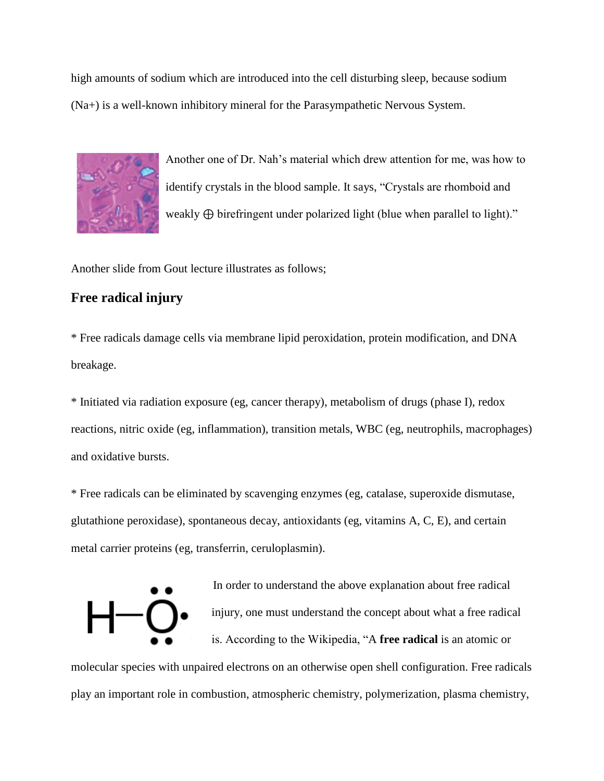high amounts of sodium which are introduced into the cell disturbing sleep, because sodium (Na+) is a well-known inhibitory mineral for the Parasympathetic Nervous System.



Another one of Dr. Nah's material which drew attention for me, was how to identify crystals in the blood sample. It says, "Crystals are rhomboid and weakly ⊕ birefringent under polarized light (blue when parallel to light)."

Another slide from Gout lecture illustrates as follows;

## **Free radical injury**

\* Free radicals damage cells via membrane lipid peroxidation, protein modification, and DNA breakage.

\* Initiated via radiation exposure (eg, cancer therapy), metabolism of drugs (phase I), redox reactions, nitric oxide (eg, inflammation), transition metals, WBC (eg, neutrophils, macrophages) and oxidative bursts.

\* Free radicals can be eliminated by scavenging enzymes (eg, catalase, superoxide dismutase, glutathione peroxidase), spontaneous decay, antioxidants (eg, vitamins A, C, E), and certain metal carrier proteins (eg, transferrin, ceruloplasmin).



In order to understand the above explanation about free radical injury, one must understand the concept about what a free radical is. According to the Wikipedia, "A **[free radical](https://en.wikipedia.org/wiki/Free_radical)** is an atomic or

molecular species with unpaired electrons on an otherwise open shell configuration. Free radicals play an important role in [combustion,](https://en.wikipedia.org/wiki/Combustion) [atmospheric chemistry,](https://en.wikipedia.org/wiki/Atmospheric_chemistry) [polymerization,](https://en.wikipedia.org/wiki/Polymerization) [plasma](https://en.wikipedia.org/wiki/Plasma_(physics)) chemistry,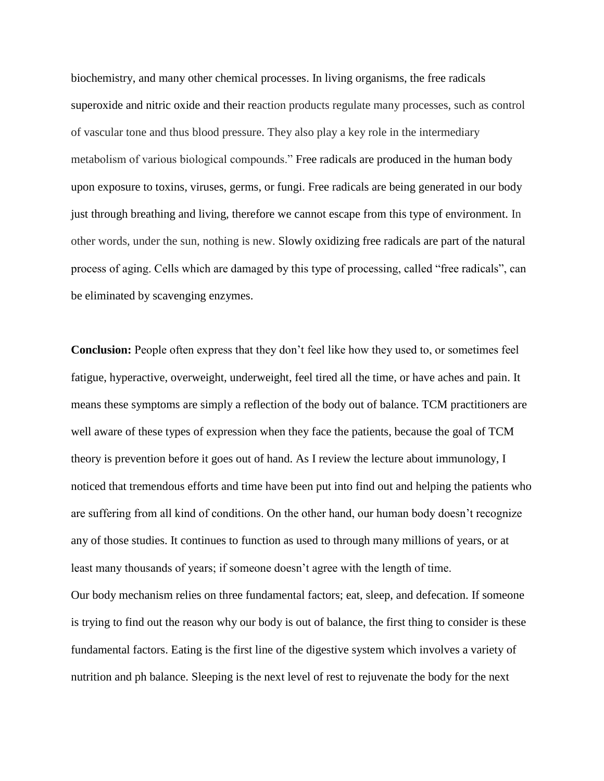[biochemistry,](https://en.wikipedia.org/wiki/Biochemistry) and many other chemical processes. In living organisms, the free radicals [superoxide](https://en.wikipedia.org/wiki/Superoxide) and [nitric oxide](https://en.wikipedia.org/wiki/Nitric_oxide) and their reaction products regulate many processes, such as control of vascular tone and thus blood pressure. They also play a key role in the intermediary metabolism of various biological compounds." Free radicals are produced in the human body upon exposure to toxins, viruses, germs, or fungi. Free radicals are being generated in our body just through breathing and living, therefore we cannot escape from this type of environment. In other words, under the sun, nothing is new. Slowly oxidizing free radicals are part of the natural process of aging. Cells which are damaged by this type of processing, called "free radicals", can be eliminated by scavenging enzymes.

**Conclusion:** People often express that they don't feel like how they used to, or sometimes feel fatigue, hyperactive, overweight, underweight, feel tired all the time, or have aches and pain. It means these symptoms are simply a reflection of the body out of balance. TCM practitioners are well aware of these types of expression when they face the patients, because the goal of TCM theory is prevention before it goes out of hand. As I review the lecture about immunology, I noticed that tremendous efforts and time have been put into find out and helping the patients who are suffering from all kind of conditions. On the other hand, our human body doesn't recognize any of those studies. It continues to function as used to through many millions of years, or at least many thousands of years; if someone doesn't agree with the length of time. Our body mechanism relies on three fundamental factors; eat, sleep, and defecation. If someone is trying to find out the reason why our body is out of balance, the first thing to consider is these fundamental factors. Eating is the first line of the digestive system which involves a variety of nutrition and ph balance. Sleeping is the next level of rest to rejuvenate the body for the next